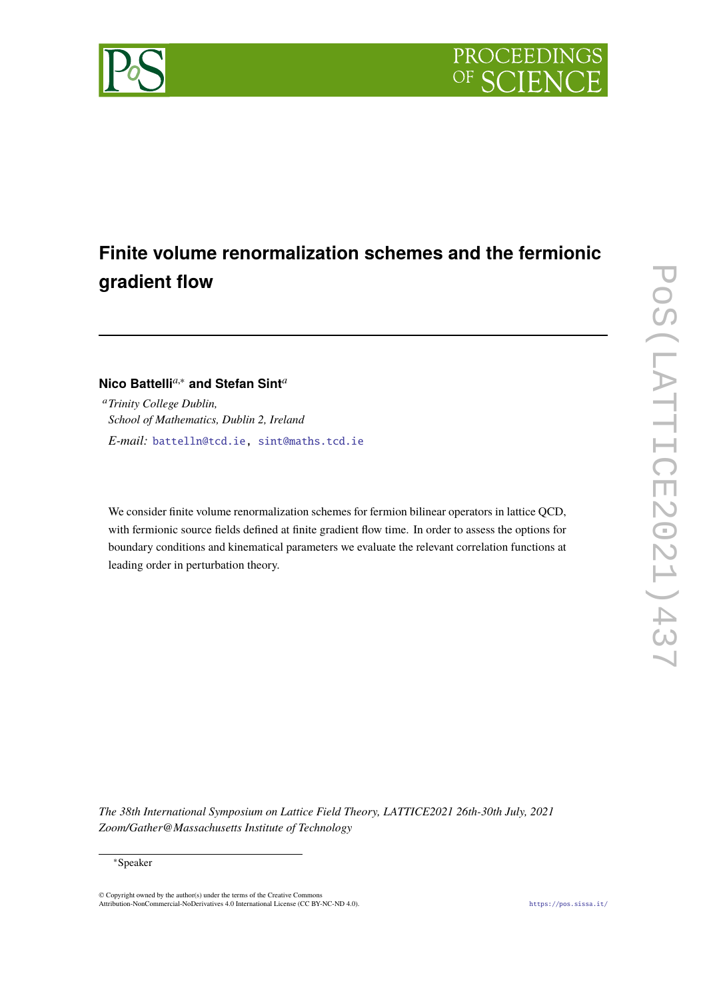



# **Finite volume renormalization schemes and the fermionic gradient flow**

## **Nico Battelli***a*,<sup>∗</sup> **and Stefan Sint***<sup>a</sup>*

<sup>a</sup>*Trinity College Dublin, School of Mathematics, Dublin 2, Ireland E-mail:* [battelln@tcd.ie,](mailto:battelln@tcd.ie) [sint@maths.tcd.ie](mailto:sint@maths.tcd.ie)

We consider finite volume renormalization schemes for fermion bilinear operators in lattice QCD, with fermionic source fields defined at finite gradient flow time. In order to assess the options for boundary conditions and kinematical parameters we evaluate the relevant correlation functions at leading order in perturbation theory.

*The 38th International Symposium on Lattice Field Theory, LATTICE2021 26th-30th July, 2021 Zoom/Gather@Massachusetts Institute of Technology*

© Copyright owned by the author(s) under the terms of the Creative Commons Attribution-NonCommercial-NoDerivatives 4.0 International License (CC BY-NC-ND 4.0). <https://pos.sissa.it/>

<sup>∗</sup>Speaker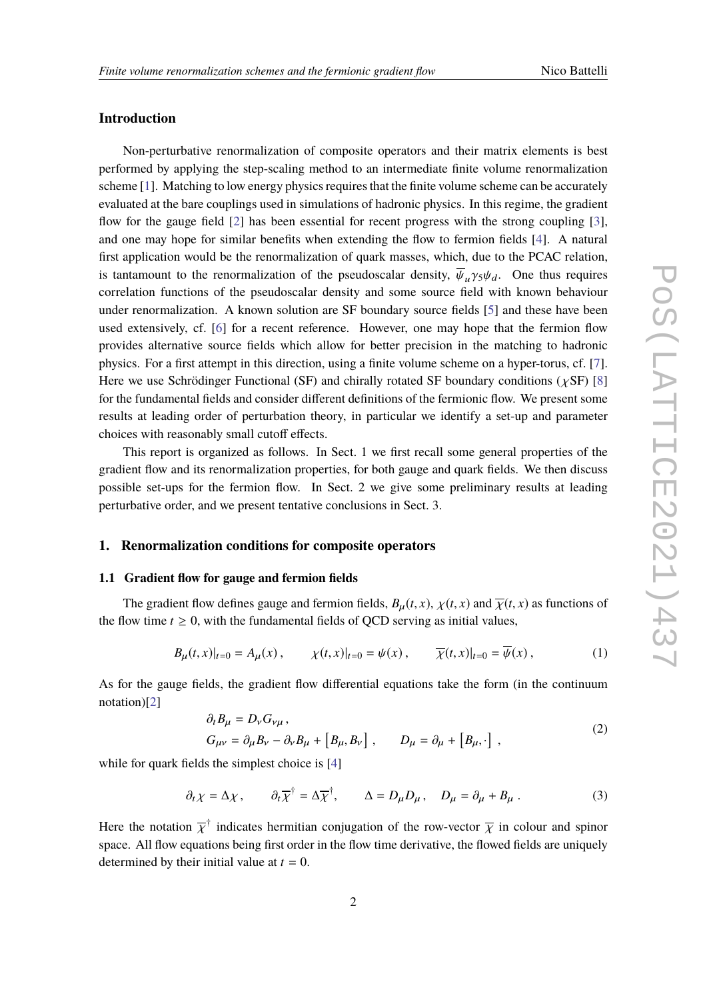#### **Introduction**

Non-perturbative renormalization of composite operators and their matrix elements is best performed by applying the step-scaling method to an intermediate finite volume renormalization scheme [\[1\]](#page-7-0). Matching to low energy physics requires that the finite volume scheme can be accurately evaluated at the bare couplings used in simulations of hadronic physics. In this regime, the gradient flow for the gauge field [\[2\]](#page-7-1) has been essential for recent progress with the strong coupling [\[3\]](#page-7-2), and one may hope for similar benefits when extending the flow to fermion fields [\[4\]](#page-7-3). A natural first application would be the renormalization of quark masses, which, due to the PCAC relation, is tantamount to the renormalization of the pseudoscalar density,  $\overline{\psi}_{\mu}\gamma_5\psi_d$ . One thus requires correlation functions of the pseudoscalar density and some source field with known behaviour under renormalization. A known solution are SF boundary source fields [\[5\]](#page-7-4) and these have been used extensively, cf. [\[6\]](#page-7-5) for a recent reference. However, one may hope that the fermion flow provides alternative source fields which allow for better precision in the matching to hadronic physics. For a first attempt in this direction, using a finite volume scheme on a hyper-torus, cf. [\[7\]](#page-7-6). Here we use Schrödinger Functional (SF) and chirally rotated SF boundary conditions ( $\chi$ SF) [\[8\]](#page-7-7) for the fundamental fields and consider different definitions of the fermionic flow. We present some results at leading order of perturbation theory, in particular we identify a set-up and parameter choices with reasonably small cutoff effects.

This report is organized as follows. In Sect. 1 we first recall some general properties of the gradient flow and its renormalization properties, for both gauge and quark fields. We then discuss possible set-ups for the fermion flow. In Sect. 2 we give some preliminary results at leading perturbative order, and we present tentative conclusions in Sect. 3.

#### **1. Renormalization conditions for composite operators**

#### **1.1 Gradient flow for gauge and fermion fields**

The gradient flow defines gauge and fermion fields,  $B_u(t, x)$ ,  $\chi(t, x)$  and  $\overline{\chi}(t, x)$  as functions of the flow time  $t \geq 0$ , with the fundamental fields of QCD serving as initial values,

$$
B_{\mu}(t,x)|_{t=0} = A_{\mu}(x), \qquad \chi(t,x)|_{t=0} = \psi(x), \qquad \overline{\chi}(t,x)|_{t=0} = \overline{\psi}(x), \tag{1}
$$

As for the gauge fields, the gradient flow differential equations take the form (in the continuum notation)[\[2\]](#page-7-1)

$$
\partial_t B_\mu = D_\nu G_{\nu\mu}, G_{\mu\nu} = \partial_\mu B_\nu - \partial_\nu B_\mu + [B_\mu, B_\nu], \qquad D_\mu = \partial_\mu + [B_\mu, \cdot],
$$
\n(2)

while for quark fields the simplest choice is [\[4\]](#page-7-3)

<span id="page-1-0"></span>
$$
\partial_t \chi = \Delta \chi \,, \qquad \partial_t \overline{\chi}^{\dagger} = \Delta \overline{\chi}^{\dagger}, \qquad \Delta = D_{\mu} D_{\mu} \,, \quad D_{\mu} = \partial_{\mu} + B_{\mu} \,. \tag{3}
$$

Here the notation  $\overline{\chi}^{\dagger}$  indicates hermitian conjugation of the row-vector  $\overline{\chi}$  in colour and spinor<br>grace. All flam agreeting heigh flat and spin the flam time derivative the flamed fields are unimply space. All flow equations being first order in the flow time derivative, the flowed fields are uniquely determined by their initial value at  $t = 0$ .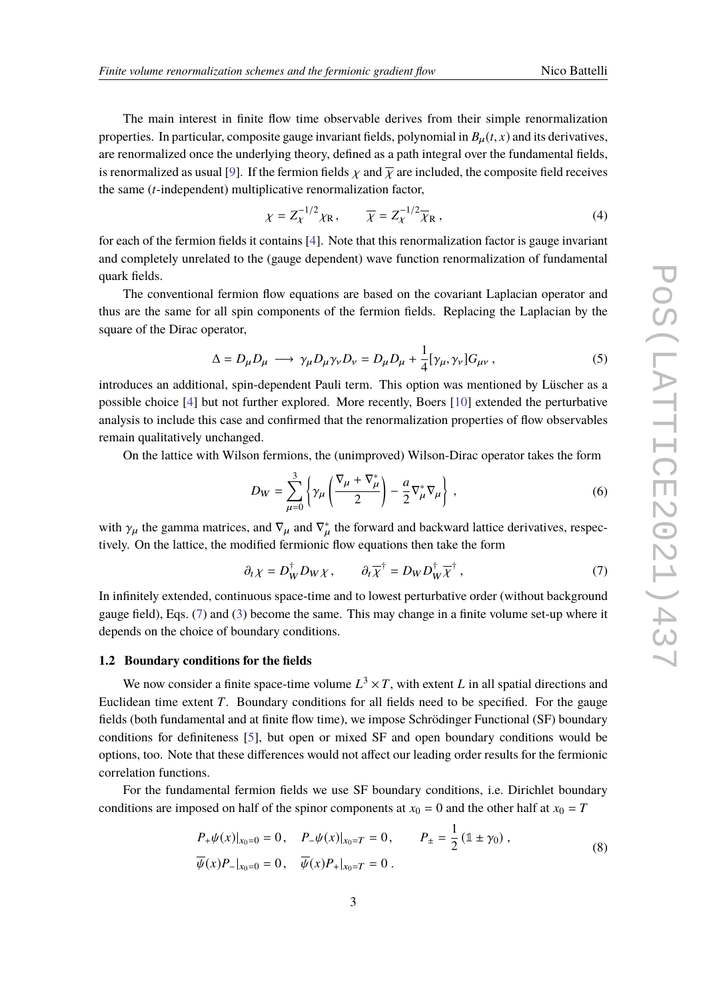The main interest in finite flow time observable derives from their simple renormalization properties. In particular, composite gauge invariant fields, polynomial in  $B<sub>u</sub>(t, x)$  and its derivatives, are renormalized once the underlying theory, defined as a path integral over the fundamental fields, is renormalized as usual [\[9\]](#page-7-8). If the fermion fields  $\chi$  and  $\overline{\chi}$  are included, the composite field receives the same (*t*-independent) multiplicative renormalization factor,

$$
\chi = Z_{\chi}^{-1/2} \chi_{\mathbb{R}}, \qquad \overline{\chi} = Z_{\chi}^{-1/2} \overline{\chi}_{\mathbb{R}}, \tag{4}
$$

for each of the fermion fields it contains [\[4\]](#page-7-3). Note that this renormalization factor is gauge invariant and completely unrelated to the (gauge dependent) wave function renormalization of fundamental quark fields.

The conventional fermion flow equations are based on the covariant Laplacian operator and thus are the same for all spin components of the fermion fields. Replacing the Laplacian by the square of the Dirac operator,

$$
\Delta = D_{\mu} D_{\mu} \longrightarrow \gamma_{\mu} D_{\mu} \gamma_{\nu} D_{\nu} = D_{\mu} D_{\mu} + \frac{1}{4} [\gamma_{\mu}, \gamma_{\nu}] G_{\mu\nu}, \qquad (5)
$$

introduces an additional, spin-dependent Pauli term. This option was mentioned by Lüscher as a possible choice [\[4\]](#page-7-3) but not further explored. More recently, Boers [\[10\]](#page-7-9) extended the perturbative analysis to include this case and confirmed that the renormalization properties of flow observables remain qualitatively unchanged.

On the lattice with Wilson fermions, the (unimproved) Wilson-Dirac operator takes the form

$$
D_W = \sum_{\mu=0}^{3} \left\{ \gamma_\mu \left( \frac{\nabla_\mu + \nabla_\mu^*}{2} \right) - \frac{a}{2} \nabla_\mu^* \nabla_\mu \right\} , \qquad (6)
$$

with  $\gamma_{\mu}$  the gamma matrices, and  $\nabla_{\mu}$  and  $\nabla_{\mu}^*$  the forward and backward lattice derivatives, respectively. On the lattice, the modified formionic flow constitues that take form tively. On the lattice, the modified fermionic flow equations then take the form

<span id="page-2-0"></span>
$$
\partial_t \chi = D_W^{\dagger} D_W \chi \,, \qquad \partial_t \overline{\chi}^{\dagger} = D_W D_W^{\dagger} \overline{\chi}^{\dagger} \,, \tag{7}
$$

In infinitely extended, continuous space-time and to lowest perturbative order (without background gauge field), Eqs. [\(7\)](#page-2-0) and [\(3\)](#page-1-0) become the same. This may change in a finite volume set-up where it depends on the choice of boundary conditions.

#### **1.2 Boundary conditions for the fields**

We now consider a finite space-time volume  $L^3 \times T$ , with extent *L* in all spatial directions and Euclidean time extent *T*. Boundary conditions for all fields need to be specified. For the gauge fields (both fundamental and at finite flow time), we impose Schrödinger Functional (SF) boundary conditions for definiteness [\[5\]](#page-7-4), but open or mixed SF and open boundary conditions would be options, too. Note that these differences would not affect our leading order results for the fermionic correlation functions.

For the fundamental fermion fields we use SF boundary conditions, i.e. Dirichlet boundary conditions are imposed on half of the spinor components at  $x_0 = 0$  and the other half at  $x_0 = T$ 

$$
P_{+}\psi(x)|_{x_{0}=0}=0, \quad P_{-}\psi(x)|_{x_{0}=T}=0, \quad P_{\pm}=\frac{1}{2}(\mathbb{1}\pm\gamma_{0}),
$$
  

$$
\overline{\psi}(x)P_{-}|_{x_{0}=0}=0, \quad \overline{\psi}(x)P_{+}|_{x_{0}=T}=0.
$$
 (8)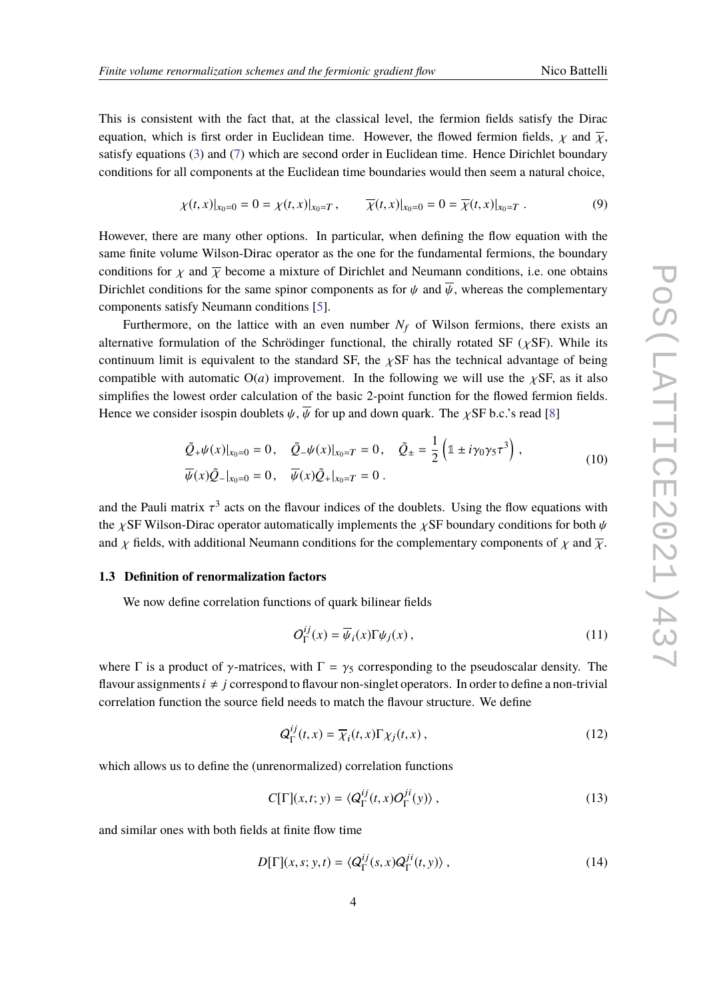This is consistent with the fact that, at the classical level, the fermion fields satisfy the Dirac equation, which is first order in Euclidean time. However, the flowed fermion fields,  $\chi$  and  $\bar{\chi}$ , satisfy equations [\(3\)](#page-1-0) and [\(7\)](#page-2-0) which are second order in Euclidean time. Hence Dirichlet boundary conditions for all components at the Euclidean time boundaries would then seem a natural choice,

$$
\chi(t,x)|_{x_0=0} = 0 = \chi(t,x)|_{x_0=T}, \qquad \overline{\chi}(t,x)|_{x_0=0} = 0 = \overline{\chi}(t,x)|_{x_0=T} . \tag{9}
$$

However, there are many other options. In particular, when defining the flow equation with the same finite volume Wilson-Dirac operator as the one for the fundamental fermions, the boundary conditions for  $\chi$  and  $\overline{\chi}$  become a mixture of Dirichlet and Neumann conditions, i.e. one obtains Dirichlet conditions for the same spinor components as for  $\psi$  and  $\overline{\psi}$ , whereas the complementary components satisfy Neumann conditions [\[5\]](#page-7-4).

Furthermore, on the lattice with an even number  $N_f$  of Wilson fermions, there exists an alternative formulation of the Schrödinger functional, the chirally rotated SF ( $\chi$ SF). While its continuum limit is equivalent to the standard SF, the  $\chi$ SF has the technical advantage of being compatible with automatic  $O(a)$  improvement. In the following we will use the  $\chi$ SF, as it also simplifies the lowest order calculation of the basic 2-point function for the flowed fermion fields. Hence we consider isospin doublets  $\psi$ ,  $\overline{\psi}$  for up and down quark. The *x*SF b.c.'s read [\[8\]](#page-7-7)

$$
\tilde{Q}_{+}\psi(x)|_{x_{0}=0} = 0, \quad \tilde{Q}_{-}\psi(x)|_{x_{0}=T} = 0, \quad \tilde{Q}_{\pm} = \frac{1}{2} \left( \mathbb{1} \pm i\gamma_{0}\gamma_{5}\tau^{3} \right), \n\overline{\psi}(x)\tilde{Q}_{-}|_{x_{0}=0} = 0, \quad \overline{\psi}(x)\tilde{Q}_{+}|_{x_{0}=T} = 0.
$$
\n(10)

and the Pauli matrix  $\tau^3$  acts on the flavour indices of the doublets. Using the flow equations with the  $\sqrt{SL}$  boundary conditions for both the the  $\chi$ SF Wilson-Dirac operator automatically implements the  $\chi$ SF boundary conditions for both  $\psi$ and  $\chi$  fields, with additional Neumann conditions for the complementary components of  $\chi$  and  $\overline{\chi}$ .

#### **1.3 Definition of renormalization factors**

We now define correlation functions of quark bilinear fields

$$
O_{\Gamma}^{ij}(x) = \overline{\psi}_i(x)\Gamma\psi_j(x),\tag{11}
$$

where  $\Gamma$  is a product of  $\gamma$ -matrices, with  $\Gamma = \gamma_5$  corresponding to the pseudoscalar density. The flavour assignments  $i \neq j$  correspond to flavour non-singlet operators. In order to define a non-trivial correlation function the source field needs to match the flavour structure. We define

$$
Q_{\Gamma}^{ij}(t,x) = \overline{\chi}_i(t,x)\Gamma \chi_j(t,x), \qquad (12)
$$

which allows us to define the (unrenormalized) correlation functions

$$
C[\Gamma](x,t;y) = \langle Q_{\Gamma}^{ij}(t,x)Q_{\Gamma}^{ji}(y)\rangle ,\qquad(13)
$$

and similar ones with both fields at finite flow time

$$
D[\Gamma](x, s; y, t) = \langle Q_{\Gamma}^{ij}(s, x) Q_{\Gamma}^{ji}(t, y) \rangle, \qquad (14)
$$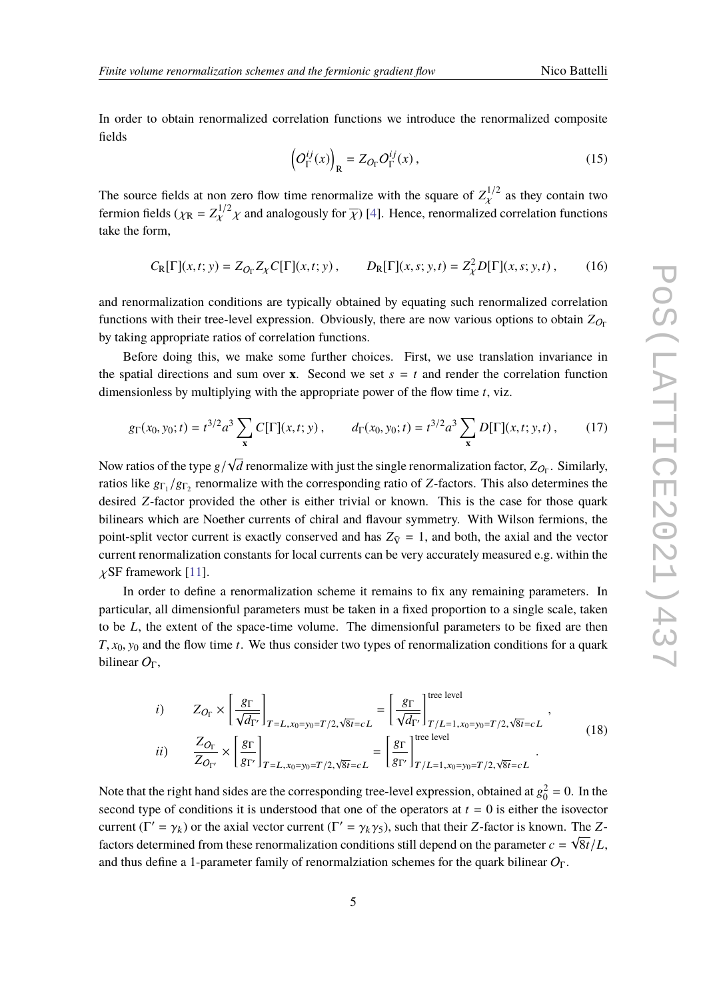In order to obtain renormalized correlation functions we introduce the renormalized composite fields

$$
\left(O_{\Gamma}^{ij}(x)\right)_{\mathbf{R}} = Z_{O_{\Gamma}} O_{\Gamma}^{ij}(x) ,\qquad(15)
$$

The source fields at non zero flow time renormalize with the square of  $Z_{\chi}^{1/2}$  as they contain two forming fields ( $\chi$   $Z_{\chi}^{1/2}$  and and some for  $\Box$  M and some smaller describing fractions fermion fields ( $\chi_{\text{R}} = Z_{\chi}^{1/2} \chi$  and analogously for  $\overline{\chi}$ ) [\[4\]](#page-7-3). Hence, renormalized correlation functions take the form,

$$
C_{\mathsf{R}}[\Gamma](x,t;y) = Z_{O_{\Gamma}}Z_{\chi}C[\Gamma](x,t;y), \qquad D_{\mathsf{R}}[\Gamma](x,s;y,t) = Z_{\chi}^{2}D[\Gamma](x,s;y,t), \qquad (16)
$$

and renormalization conditions are typically obtained by equating such renormalized correlation functions with their tree-level expression. Obviously, there are now various options to obtain  $Z_{O<sub>0</sub>}$ by taking appropriate ratios of correlation functions.

Before doing this, we make some further choices. First, we use translation invariance in the spatial directions and sum over **x**. Second we set  $s = t$  and render the correlation function dimensionless by multiplying with the appropriate power of the flow time *t*, viz.

$$
g_{\Gamma}(x_0, y_0; t) = t^{3/2} a^3 \sum_{\mathbf{x}} C[\Gamma](x, t; y), \qquad d_{\Gamma}(x_0, y_0; t) = t^{3/2} a^3 \sum_{\mathbf{x}} D[\Gamma](x, t; y, t), \qquad (17)
$$

Now ratios of the type  $g/$ *d* renormalize with just the single renormalization factor,  $Z_{O_{\Gamma}}$ . Similarly, ratios like  $g_{\Gamma_1}/g_{\Gamma_2}$  renormalize with the corresponding ratio of *Z*-factors. This also determines the desired *Z*-factor provided the other is either trivial or known. This is the case for those quark bilinears which are Noether currents of chiral and flavour symmetry. With Wilson fermions, the point-split vector current is exactly conserved and has  $Z_{\overline{V}} = 1$ , and both, the axial and the vector current renormalization constants for local currents can be very accurately measured e.g. within the  $\chi$ SF framework [\[11\]](#page-7-10).

In order to define a renormalization scheme it remains to fix any remaining parameters. In particular, all dimensionful parameters must be taken in a fixed proportion to a single scale, taken to be *L*, the extent of the space-time volume. The dimensionful parameters to be fixed are then  $T, x_0, y_0$  and the flow time *t*. We thus consider two types of renormalization conditions for a quark bilinear  $O_{\Gamma}$ ,

<span id="page-4-0"></span>
$$
i) \t Z_{O_{\Gamma}} \times \left[ \frac{g_{\Gamma}}{\sqrt{d_{\Gamma}}} \right]_{T=L, x_0=y_0=T/2, \sqrt{8t}=cL} = \left[ \frac{g_{\Gamma}}{\sqrt{d_{\Gamma}}} \right]_{T/L=1, x_0=y_0=T/2, \sqrt{8t}=cL}^{\text{tree level}},
$$
  
\n
$$
ii) \t \frac{Z_{O_{\Gamma}}}{Z_{O_{\Gamma'}}} \times \left[ \frac{g_{\Gamma}}{g_{\Gamma'}} \right]_{T=L, x_0=y_0=T/2, \sqrt{8t}=cL} = \left[ \frac{g_{\Gamma}}{g_{\Gamma'}} \right]_{T/L=1, x_0=y_0=T/2, \sqrt{8t}=cL}^{\text{tree level}},
$$
\n
$$
(18)
$$

Note that the right hand sides are the corresponding tree-level expression, obtained at  $g_0^2 = 0$ . In the second type of conditions it is understood that one of the operators at  $t = 0$  is either the isovector current ( $\Gamma' = \gamma_k$ ) or the axial vector current ( $\Gamma' = \gamma_k \gamma_5$ ), such that their *Z*-factor is known. The *Z*-factor is known. The *Z*-factor determined from these groups institutions and it is not different as the parame factors determined from these renormalization conditions still depend on the parameter  $c = \sqrt{8t}/L$ , and thus define a 1-parameter family of renormalziation schemes for the quark bilinear  $O_{\Gamma}$ .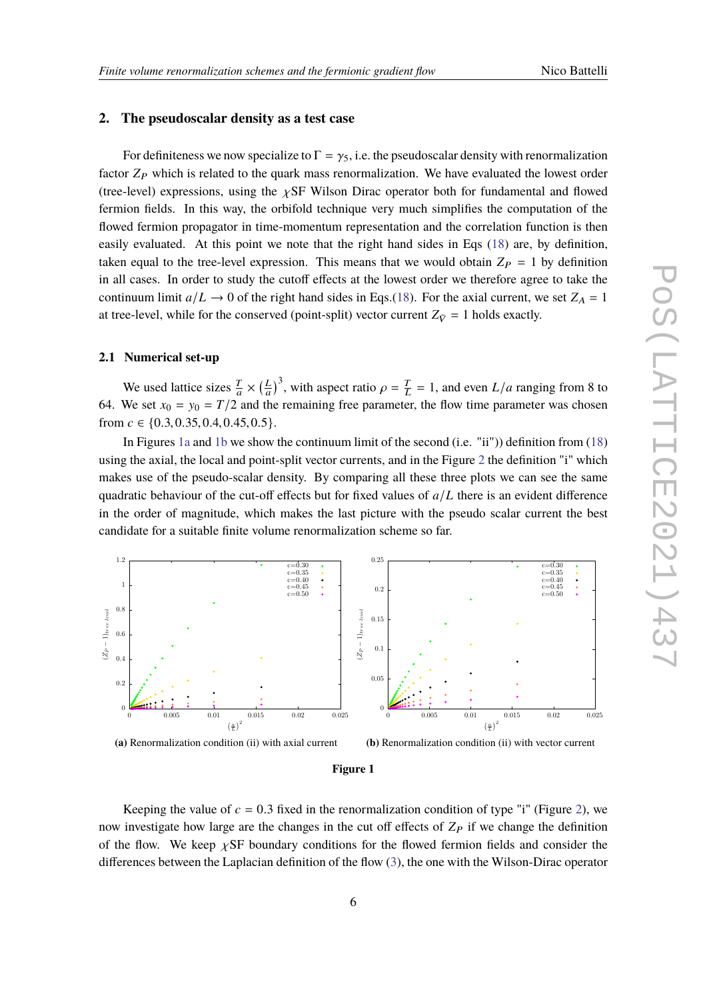#### **2. The pseudoscalar density as a test case**

For definiteness we now specialize to  $\Gamma = \gamma_5$ , i.e. the pseudoscalar density with renormalization factor  $Z_P$  which is related to the quark mass renormalization. We have evaluated the lowest order (tree-level) expressions, using the  $\chi$ SF Wilson Dirac operator both for fundamental and flowed fermion fields. In this way, the orbifold technique very much simplifies the computation of the flowed fermion propagator in time-momentum representation and the correlation function is then easily evaluated. At this point we note that the right hand sides in Eqs [\(18\)](#page-4-0) are, by definition, taken equal to the tree-level expression. This means that we would obtain  $Z_P = 1$  by definition in all cases. In order to study the cutoff effects at the lowest order we therefore agree to take the continuum limit  $a/L \rightarrow 0$  of the right hand sides in Eqs.[\(18\)](#page-4-0). For the axial current, we set  $Z_A = 1$ at tree-level, while for the conserved (point-split) vector current  $Z_{\tilde{V}} = 1$  holds exactly.

#### **2.1 Numerical set-up**

We used lattice sizes  $\frac{T}{a} \times (\frac{L}{a})$  $\left(\frac{L}{a}\right)^3$ , with aspect ratio  $\rho = \frac{T}{L}$  $\frac{T}{L} = 1$ , and even  $L/a$  ranging from 8 to 64. We set  $x_0 = y_0 = T/2$  and the remaining free parameter, the flow time parameter was chosen from  $c \in \{0.3, 0.35, 0.4, 0.45, 0.5\}.$ 

In Figures [1a](#page-5-0) and [1b](#page-5-1) we show the continuum limit of the second (i.e. "ii")) definition from [\(18\)](#page-4-0) using the axial, the local and point-split vector currents, and in the Figure [2](#page-6-0) the definition "i" which makes use of the pseudo-scalar density. By comparing all these three plots we can see the same quadratic behaviour of the cut-off effects but for fixed values of *a*/*L* there is an evident difference in the order of magnitude, which makes the last picture with the pseudo scalar current the best candidate for a suitable finite volume renormalization scheme so far.

<span id="page-5-0"></span>

<span id="page-5-1"></span>

Keeping the value of  $c = 0.3$  fixed in the renormalization condition of type "i" (Figure [2\)](#page-6-0), we now investigate how large are the changes in the cut off effects of  $Z_P$  if we change the definition of the flow. We keep  $\chi$ SF boundary conditions for the flowed fermion fields and consider the differences between the Laplacian definition of the flow [\(3\)](#page-1-0), the one with the Wilson-Dirac operator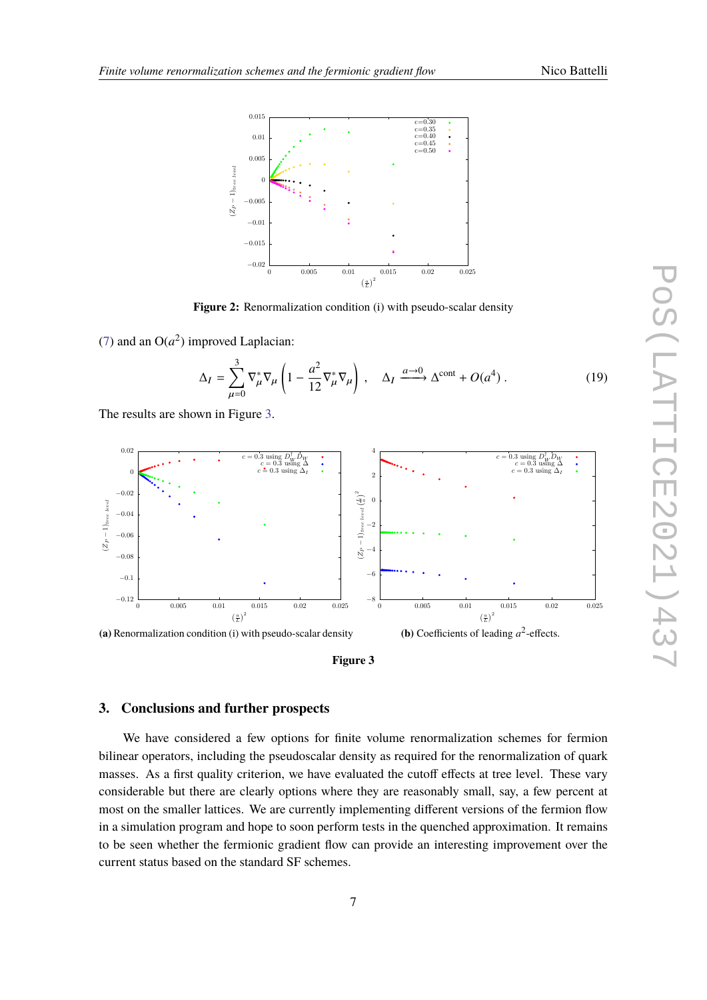<span id="page-6-0"></span>

**Figure 2:** Renormalization condition (i) with pseudo-scalar density

[\(7\)](#page-2-0) and an  $O(a^2)$  improved Laplacian:

$$
\Delta_I = \sum_{\mu=0}^{3} \nabla_{\mu}^* \nabla_{\mu} \left( 1 - \frac{a^2}{12} \nabla_{\mu}^* \nabla_{\mu} \right) , \quad \Delta_I \xrightarrow{a \to 0} \Delta^{\text{cont}} + O(a^4) . \tag{19}
$$

<span id="page-6-1"></span>The results are shown in Figure [3.](#page-6-1)





### **3. Conclusions and further prospects**

We have considered a few options for finite volume renormalization schemes for fermion bilinear operators, including the pseudoscalar density as required for the renormalization of quark masses. As a first quality criterion, we have evaluated the cutoff effects at tree level. These vary considerable but there are clearly options where they are reasonably small, say, a few percent at most on the smaller lattices. We are currently implementing different versions of the fermion flow in a simulation program and hope to soon perform tests in the quenched approximation. It remains to be seen whether the fermionic gradient flow can provide an interesting improvement over the current status based on the standard SF schemes.